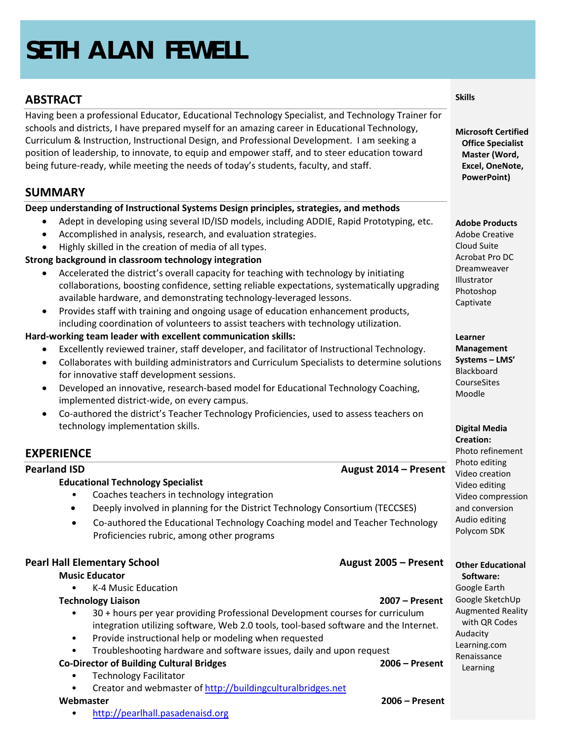# **SETH ALAN FEWELL**

# **ABSTRACT**

Having been a professional Educator, Educational Technology Specialist, and Technology Trainer for schools and districts, I have prepared myself for an amazing career in Educational Technology, Curriculum & Instruction, Instructional Design, and Professional Development. I am seeking a position of leadership, to innovate, to equip and empower staff, and to steer education toward being future-ready, while meeting the needs of today's students, faculty, and staff.

# **SUMMARY**

#### **Deep understanding of Instructional Systems Design principles, strategies, and methods**

- Adept in developing using several ID/ISD models, including ADDIE, Rapid Prototyping, etc.
- Accomplished in analysis, research, and evaluation strategies.
- Highly skilled in the creation of media of all types.

### **Strong background in classroom technology integration**

- Accelerated the district's overall capacity for teaching with technology by initiating collaborations, boosting confidence, setting reliable expectations, systematically upgrading available hardware, and demonstrating technology-leveraged lessons.
- Provides staff with training and ongoing usage of education enhancement products, including coordination of volunteers to assist teachers with technology utilization.

### **Hard-working team leader with excellent communication skills:**

- Excellently reviewed trainer, staff developer, and facilitator of Instructional Technology.
- Collaborates with building administrators and Curriculum Specialists to determine solutions for innovative staff development sessions.
- Developed an innovative, research-based model for Educational Technology Coaching, implemented district-wide, on every campus.
- Co-authored the district's Teacher Technology Proficiencies, used to assess teachers on technology implementation skills.

# **EXPERIENCE**

### **Pearland ISD August 2014 – Present**

### **Educational Technology Specialist**

- Coaches teachers in technology integration
- Deeply involved in planning for the District Technology Consortium (TECCSES)
- Co-authored the Educational Technology Coaching model and Teacher Technology Proficiencies rubric, among other programs

#### **Pearl Hall Elementary School August 2005 – Present**

#### **Music Educator**

- K-4 Music Education
- **Technology Liaison 2007 – Present**
- 

- 30 + hours per year providing Professional Development courses for curriculum integration utilizing software, Web 2.0 tools, tool-based software and the Internet.
- Provide instructional help or modeling when requested
- Troubleshooting hardware and software issues, daily and upon request

# **Co-Director of Building Cultural Bridges 2006 – Present**

- Technology Facilitator
- Creator and webmaster of [http://buildingculturalbridges.net](http://buildingculturalbridges.net/)

• [http://pearlhall.pasadenaisd.org](http://pearlhall.pasadenaisd.org/)

**Microsoft Certified Office Specialist Master (Word, Excel, OneNote, PowerPoint)**

**Adobe Products**

Adobe Creative Cloud Suite Acrobat Pro DC Dreamweaver **Illustrator** Photoshop Captivate

**Learner** 

**Management Systems – LMS'** Blackboard **CourseSites** Moodle

**Digital Media Creation:**

Photo refinement Photo editing Video creation Video editing Video compression and conversion Audio editing Polycom SDK

**Other Educational Software:**

Google Earth Google SketchUp Augmented Reality with QR Codes Audacity Learning.com Renaissance Learning